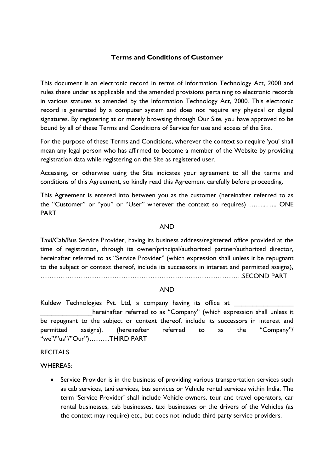# **Terms and Conditions of Customer**

This document is an electronic record in terms of Information Technology Act, 2000 and rules there under as applicable and the amended provisions pertaining to electronic records in various statutes as amended by the Information Technology Act, 2000. This electronic record is generated by a computer system and does not require any physical or digital signatures. By registering at or merely browsing through Our Site, you have approved to be bound by all of these Terms and Conditions of Service for use and access of the Site.

For the purpose of these Terms and Conditions, wherever the context so require 'you' shall mean any legal person who has affirmed to become a member of the Website by providing registration data while registering on the Site as registered user.

Accessing, or otherwise using the Site indicates your agreement to all the terms and conditions of this Agreement, so kindly read this Agreement carefully before proceeding.

This Agreement is entered into between you as the customer (hereinafter referred to as the "Customer" or "you" or "User" wherever the context so requires) ……...….. ONE PART

#### AND

Taxi/Cab/Bus Service Provider, having its business address/registered office provided at the time of registration, through its owner/principal/authorized partner/authorized director, hereinafter referred to as "Service Provider" (which expression shall unless it be repugnant to the subject or context thereof, include its successors in interest and permitted assigns),

………………………………………………………………………………SECOND PART

#### AND

Kuldew Technologies Pvt. Ltd, a company having its office at hereinafter referred to as "Company" (which expression shall unless it be repugnant to the subject or context thereof, include its successors in interest and permitted assigns), (hereinafter referred to as the "Company"/ "we"/"us"/"Our")………THIRD PART

#### RECITALS

#### WHEREAS:

• Service Provider is in the business of providing various transportation services such as cab services, taxi services, bus services or Vehicle rental services within India. The term 'Service Provider' shall include Vehicle owners, tour and travel operators, car rental businesses, cab businesses, taxi businesses or the drivers of the Vehicles (as the context may require) etc., but does not include third party service providers.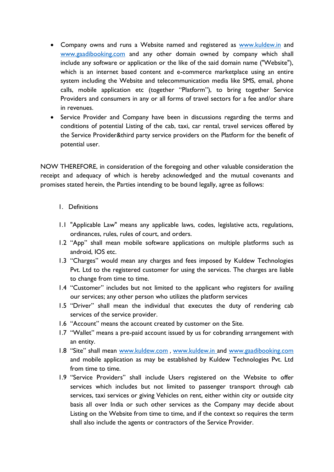- Company owns and runs a Website named and registered as [www.kuldew.in](https://www.kuldew.in/) and [www.gaadibooking.com](https://www.gaadibooking.com/) and any other domain owned by company which shall include any software or application or the like of the said domain name ("Website"), which is an internet based content and e-commerce marketplace using an entire system including the Website and telecommunication media like SMS, email, phone calls, mobile application etc (together "Platform"), to bring together Service Providers and consumers in any or all forms of travel sectors for a fee and/or share in revenues.
- Service Provider and Company have been in discussions regarding the terms and conditions of potential Listing of the cab, taxi, car rental, travel services offered by the Service Provider&third party service providers on the Platform for the benefit of potential user.

NOW THEREFORE, in consideration of the foregoing and other valuable consideration the receipt and adequacy of which is hereby acknowledged and the mutual covenants and promises stated herein, the Parties intending to be bound legally, agree as follows:

## 1. Definitions

- 1.1 "Applicable Law" means any applicable laws, codes, legislative acts, regulations, ordinances, rules, rules of court, and orders.
- 1.2 "App" shall mean mobile software applications on multiple platforms such as android, IOS etc.
- 1.3 "Charges" would mean any charges and fees imposed by Kuldew Technologies Pvt. Ltd to the registered customer for using the services. The charges are liable to change from time to time.
- 1.4 "Customer" includes but not limited to the applicant who registers for availing our services; any other person who utilizes the platform services
- 1.5 "Driver" shall mean the individual that executes the duty of rendering cab services of the service provider.
- 1.6 "Account" means the account created by customer on the Site.
- 1.7 "Wallet" means a pre-paid account issued by us for cobranding arrangement with an entity.
- 1.8 "Site" shall mean [www.kuldew.com](http://www.kuldew.com/) , [www.kuldew.in](http://www.kuldew.in/) and [www.gaadibooking.com](https://www.gaadibooking.com/) and mobile application as may be established by Kuldew Technologies Pvt. Ltd from time to time.
- 1.9 "Service Providers" shall include Users registered on the Website to offer services which includes but not limited to passenger transport through cab services, taxi services or giving Vehicles on rent, either within city or outside city basis all over India or such other services as the Company may decide about Listing on the Website from time to time, and if the context so requires the term shall also include the agents or contractors of the Service Provider.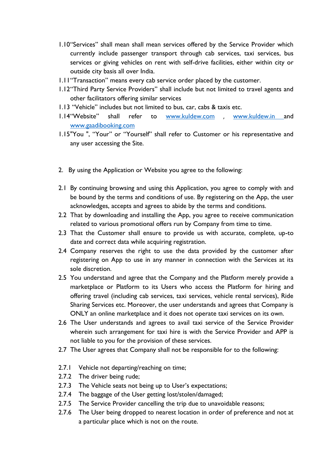- 1.10"Services" shall mean shall mean services offered by the Service Provider which currently include passenger transport through cab services, taxi services, bus services or giving vehicles on rent with self-drive facilities, either within city or outside city basis all over India.
- 1.11"Transaction" means every cab service order placed by the customer.
- 1.12"Third Party Service Providers" shall include but not limited to travel agents and other facilitators offering similar services
- 1.13 "Vehicle" includes but not limited to bus, car, cabs & taxis etc.
- 1.14"Website" shall refer to [www.kuldew.com](http://www.kuldew.com/) , [www.kuldew.in](http://www.kuldew.in/) and [www.gaadibooking.com](https://www.gaadibooking.com/)
- 1.15"You ", "Your" or "Yourself" shall refer to Customer or his representative and any user accessing the Site.
- 2. By using the Application or Website you agree to the following:
- 2.1 By continuing browsing and using this Application, you agree to comply with and be bound by the terms and conditions of use. By registering on the App, the user acknowledges, accepts and agrees to abide by the terms and conditions.
- 2.2 That by downloading and installing the App, you agree to receive communication related to various promotional offers run by Company from time to time.
- 2.3 That the Customer shall ensure to provide us with accurate, complete, up-to date and correct data while acquiring registration.
- 2.4 Company reserves the right to use the data provided by the customer after registering on App to use in any manner in connection with the Services at its sole discretion.
- 2.5 You understand and agree that the Company and the Platform merely provide a marketplace or Platform to its Users who access the Platform for hiring and offering travel (including cab services, taxi services, vehicle rental services), Ride Sharing Services etc. Moreover, the user understands and agrees that Company is ONLY an online marketplace and it does not operate taxi services on its own.
- 2.6 The User understands and agrees to avail taxi service of the Service Provider wherein such arrangement for taxi hire is with the Service Provider and APP is not liable to you for the provision of these services.
- 2.7 The User agrees that Company shall not be responsible for to the following:
- 2.7.1 Vehicle not departing/reaching on time;
- 2.7.2 The driver being rude;
- 2.7.3 The Vehicle seats not being up to User's expectations;
- 2.7.4 The baggage of the User getting lost/stolen/damaged;
- 2.7.5 The Service Provider cancelling the trip due to unavoidable reasons;
- 2.7.6 The User being dropped to nearest location in order of preference and not at a particular place which is not on the route.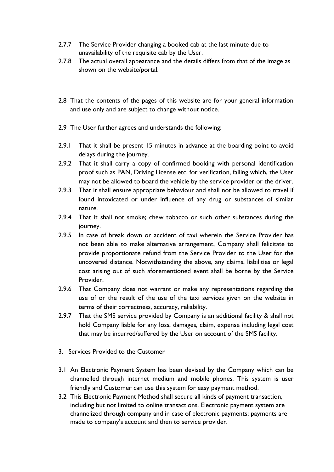- 2.7.7 The Service Provider changing a booked cab at the last minute due to unavailability of the requisite cab by the User.
- 2.7.8 The actual overall appearance and the details differs from that of the image as shown on the website/portal.
- 2.8 That the contents of the pages of this website are for your general information and use only and are subject to change without notice.
- 2.9 The User further agrees and understands the following:
- 2.9.1 That it shall be present 15 minutes in advance at the boarding point to avoid delays during the journey.
- 2.9.2 That it shall carry a copy of confirmed booking with personal identification proof such as PAN, Driving License etc. for verification, failing which, the User may not be allowed to board the vehicle by the service provider or the driver.
- 2.9.3 That it shall ensure appropriate behaviour and shall not be allowed to travel if found intoxicated or under influence of any drug or substances of similar nature.
- 2.9.4 That it shall not smoke; chew tobacco or such other substances during the journey.
- 2.9.5 In case of break down or accident of taxi wherein the Service Provider has not been able to make alternative arrangement, Company shall felicitate to provide proportionate refund from the Service Provider to the User for the uncovered distance. Notwithstanding the above, any claims, liabilities or legal cost arising out of such aforementioned event shall be borne by the Service Provider.
- 2.9.6 That Company does not warrant or make any representations regarding the use of or the result of the use of the taxi services given on the website in terms of their correctness, accuracy, reliability.
- 2.9.7 That the SMS service provided by Company is an additional facility & shall not hold Company liable for any loss, damages, claim, expense including legal cost that may be incurred/suffered by the User on account of the SMS facility.
- 3. Services Provided to the Customer
- 3.1 An Electronic Payment System has been devised by the Company which can be channelled through internet medium and mobile phones. This system is user friendly and Customer can use this system for easy payment method.
- 3.2 This Electronic Payment Method shall secure all kinds of payment transaction, including but not limited to online transactions. Electronic payment system are channelized through company and in case of electronic payments; payments are made to company's account and then to service provider.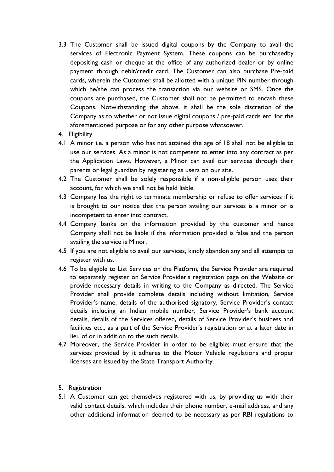- 3.3 The Customer shall be issued digital coupons by the Company to avail the services of Electronic Payment System. These coupons can be purchasedby depositing cash or cheque at the office of any authorized dealer or by online payment through debit/credit card. The Customer can also purchase Pre-paid cards, wherein the Customer shall be allotted with a unique PIN number through which he/she can process the transaction via our website or SMS. Once the coupons are purchased, the Customer shall not be permitted to encash these Coupons. Notwithstanding the above, it shall be the sole discretion of the Company as to whether or not issue digital coupons / pre-paid cards etc. for the aforementioned purpose or for any other purpose whatsoever.
- 4. Eligibility
- 4.1 A minor i.e. a person who has not attained the age of 18 shall not be eligible to use our services. As a minor is not competent to enter into any contract as per the Application Laws. However, a Minor can avail our services through their parents or legal guardian by registering as users on our site.
- 4.2 The Customer shall be solely responsible if a non-eligible person uses their account, for which we shall not be held liable.
- 4.3 Company has the right to terminate membership or refuse to offer services if it is brought to our notice that the person availing our services is a minor or is incompetent to enter into contract.
- 4.4 Company banks on the information provided by the customer and hence Company shall not be liable if the information provided is false and the person availing the service is Minor.
- 4.5 If you are not eligible to avail our services, kindly abandon any and all attempts to register with us.
- 4.6 To be eligible to List Services on the Platform, the Service Provider are required to separately register on Service Provider's registration page on the Website or provide necessary details in writing to the Company as directed. The Service Provider shall provide complete details including without limitation, Service Provider's name, details of the authorised signatory, Service Provider's contact details including an Indian mobile number, Service Provider's bank account details, details of the Services offered, details of Service Provider's business and facilities etc., as a part of the Service Provider's registration or at a later date in lieu of or in addition to the such details.
- 4.7 Moreover, the Service Provider in order to be eligible; must ensure that the services provided by it adheres to the Motor Vehicle regulations and proper licenses are issued by the State Transport Authority.
- 5. Registration
- 5.1 A Customer can get themselves registered with us, by providing us with their valid contact details, which includes their phone number, e-mail address, and any other additional information deemed to be necessary as per RBI regulations to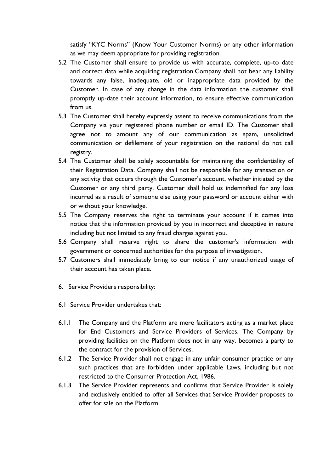satisfy "KYC Norms" (Know Your Customer Norms) or any other information as we may deem appropriate for providing registration.

- 5.2 The Customer shall ensure to provide us with accurate, complete, up-to date and correct data while acquiring registration.Company shall not bear any liability towards any false, inadequate, old or inappropriate data provided by the Customer. In case of any change in the data information the customer shall promptly up-date their account information, to ensure effective communication from us.
- 5.3 The Customer shall hereby expressly assent to receive communications from the Company via your registered phone number or email ID. The Customer shall agree not to amount any of our communication as spam, unsolicited communication or defilement of your registration on the national do not call registry.
- 5.4 The Customer shall be solely accountable for maintaining the confidentiality of their Registration Data. Company shall not be responsible for any transaction or any activity that occurs through the Customer's account, whether initiated by the Customer or any third party. Customer shall hold us indemnified for any loss incurred as a result of someone else using your password or account either with or without your knowledge.
- 5.5 The Company reserves the right to terminate your account if it comes into notice that the information provided by you in incorrect and deceptive in nature including but not limited to any fraud charges against you.
- 5.6 Company shall reserve right to share the customer's information with government or concerned authorities for the purpose of investigation.
- 5.7 Customers shall immediately bring to our notice if any unauthorized usage of their account has taken place.
- 6. Service Providers responsibility:
- 6.1 Service Provider undertakes that:
- 6.1.1 The Company and the Platform are mere facilitators acting as a market place for End Customers and Service Providers of Services. The Company by providing facilities on the Platform does not in any way, becomes a party to the contract for the provision of Services.
- 6.1.2 The Service Provider shall not engage in any unfair consumer practice or any such practices that are forbidden under applicable Laws, including but not restricted to the Consumer Protection Act, 1986.
- 6.1.3 The Service Provider represents and confirms that Service Provider is solely and exclusively entitled to offer all Services that Service Provider proposes to offer for sale on the Platform.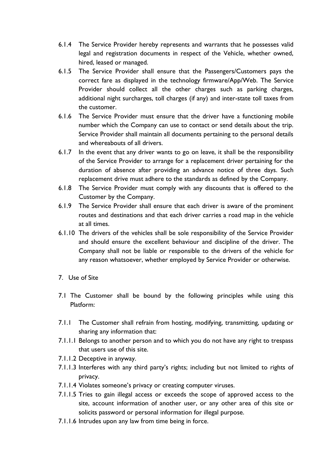- 6.1.4 The Service Provider hereby represents and warrants that he possesses valid legal and registration documents in respect of the Vehicle, whether owned, hired, leased or managed.
- 6.1.5 The Service Provider shall ensure that the Passengers/Customers pays the correct fare as displayed in the technology firmware/App/Web. The Service Provider should collect all the other charges such as parking charges, additional night surcharges, toll charges (if any) and inter-state toll taxes from the customer.
- 6.1.6 The Service Provider must ensure that the driver have a functioning mobile number which the Company can use to contact or send details about the trip. Service Provider shall maintain all documents pertaining to the personal details and whereabouts of all drivers.
- 6.1.7 In the event that any driver wants to go on leave, it shall be the responsibility of the Service Provider to arrange for a replacement driver pertaining for the duration of absence after providing an advance notice of three days. Such replacement drive must adhere to the standards as defined by the Company.
- 6.1.8 The Service Provider must comply with any discounts that is offered to the Customer by the Company.
- 6.1.9 The Service Provider shall ensure that each driver is aware of the prominent routes and destinations and that each driver carries a road map in the vehicle at all times.
- 6.1.10 The drivers of the vehicles shall be sole responsibility of the Service Provider and should ensure the excellent behaviour and discipline of the driver. The Company shall not be liable or responsible to the drivers of the vehicle for any reason whatsoever, whether employed by Service Provider or otherwise.
- 7. Use of Site
- 7.1 The Customer shall be bound by the following principles while using this Platform:
- 7.1.1 The Customer shall refrain from hosting, modifying, transmitting, updating or sharing any information that:
- 7.1.1.1 Belongs to another person and to which you do not have any right to trespass that users use of this site.
- 7.1.1.2 Deceptive in anyway.
- 7.1.1.3 Interferes with any third party's rights; including but not limited to rights of privacy.
- 7.1.1.4 Violates someone's privacy or creating computer viruses.
- 7.1.1.5 Tries to gain illegal access or exceeds the scope of approved access to the site, account information of another user, or any other area of this site or solicits password or personal information for illegal purpose.
- 7.1.1.6 Intrudes upon any law from time being in force.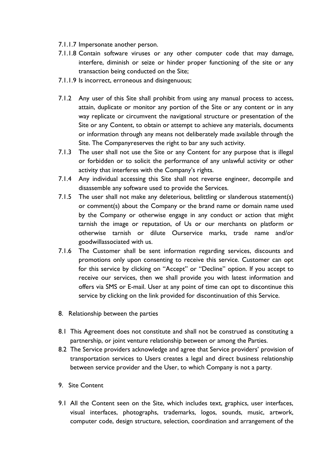- 7.1.1.7 Impersonate another person.
- 7.1.1.8 Contain software viruses or any other computer code that may damage, interfere, diminish or seize or hinder proper functioning of the site or any transaction being conducted on the Site;
- 7.1.1.9 Is incorrect, erroneous and disingenuous;
- 7.1.2 Any user of this Site shall prohibit from using any manual process to access, attain, duplicate or monitor any portion of the Site or any content or in any way replicate or circumvent the navigational structure or presentation of the Site or any Content, to obtain or attempt to achieve any materials, documents or information through any means not deliberately made available through the Site. The Companyreserves the right to bar any such activity.
- 7.1.3 The user shall not use the Site or any Content for any purpose that is illegal or forbidden or to solicit the performance of any unlawful activity or other activity that interferes with the Company's rights.
- 7.1.4 Any individual accessing this Site shall not reverse engineer, decompile and disassemble any software used to provide the Services.
- 7.1.5 The user shall not make any deleterious, belittling or slanderous statement(s) or comment(s) about the Company or the brand name or domain name used by the Company or otherwise engage in any conduct or action that might tarnish the image or reputation, of Us or our merchants on platform or otherwise tarnish or dilute Ourservice marks, trade name and/or goodwillassociated with us.
- 7.1.6 The Customer shall be sent information regarding services, discounts and promotions only upon consenting to receive this service. Customer can opt for this service by clicking on "Accept" or "Decline" option. If you accept to receive our services, then we shall provide you with latest information and offers via SMS or E-mail. User at any point of time can opt to discontinue this service by clicking on the link provided for discontinuation of this Service.
- 8. Relationship between the parties
- 8.1 This Agreement does not constitute and shall not be construed as constituting a partnership, or joint venture relationship between or among the Parties.
- 8.2 The Service providers acknowledge and agree that Service providers' provision of transportation services to Users creates a legal and direct business relationship between service provider and the User, to which Company is not a party.
- 9. Site Content
- 9.1 All the Content seen on the Site, which includes text, graphics, user interfaces, visual interfaces, photographs, trademarks, logos, sounds, music, artwork, computer code, design structure, selection, coordination and arrangement of the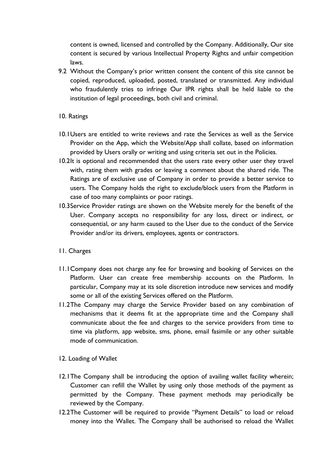content is owned, licensed and controlled by the Company. Additionally, Our site content is secured by various Intellectual Property Rights and unfair competition laws.

9.2 Without the Company's prior written consent the content of this site cannot be copied, reproduced, uploaded, posted, translated or transmitted. Any individual who fraudulently tries to infringe Our IPR rights shall be held liable to the institution of legal proceedings, both civil and criminal.

#### 10. Ratings

- 10.1Users are entitled to write reviews and rate the Services as well as the Service Provider on the App, which the Website/App shall collate, based on information provided by Users orally or writing and using criteria set out in the Policies.
- 10.2It is optional and recommended that the users rate every other user they travel with, rating them with grades or leaving a comment about the shared ride. The Ratings are of exclusive use of Company in order to provide a better service to users. The Company holds the right to exclude/block users from the Platform in case of too many complaints or poor ratings.
- 10.3Service Provider ratings are shown on the Website merely for the benefit of the User. Company accepts no responsibility for any loss, direct or indirect, or consequential, or any harm caused to the User due to the conduct of the Service Provider and/or its drivers, employees, agents or contractors.

#### 11. Charges

- 11.1Company does not charge any fee for browsing and booking of Services on the Platform. User can create free membership accounts on the Platform. In particular, Company may at its sole discretion introduce new services and modify some or all of the existing Services offered on the Platform.
- 11.2The Company may charge the Service Provider based on any combination of mechanisms that it deems fit at the appropriate time and the Company shall communicate about the fee and charges to the service providers from time to time via platform, app website, sms, phone, email fasimile or any other suitable mode of communication.
- 12. Loading of Wallet
- 12.1The Company shall be introducing the option of availing wallet facility wherein; Customer can refill the Wallet by using only those methods of the payment as permitted by the Company. These payment methods may periodically be reviewed by the Company.
- 12.2The Customer will be required to provide "Payment Details" to load or reload money into the Wallet. The Company shall be authorised to reload the Wallet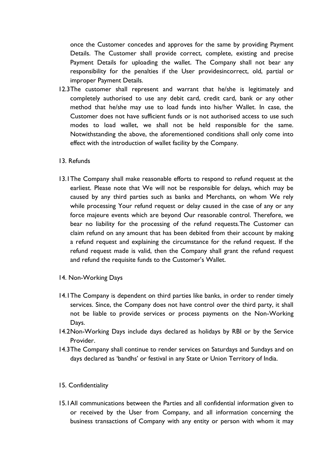once the Customer concedes and approves for the same by providing Payment Details. The Customer shall provide correct, complete, existing and precise Payment Details for uploading the wallet. The Company shall not bear any responsibility for the penalties if the User providesincorrect, old, partial or improper Payment Details.

- 12.3The customer shall represent and warrant that he/she is legitimately and completely authorised to use any debit card, credit card, bank or any other method that he/she may use to load funds into his/her Wallet. In case, the Customer does not have sufficient funds or is not authorised access to use such modes to load wallet, we shall not be held responsible for the same. Notwithstanding the above, the aforementioned conditions shall only come into effect with the introduction of wallet facility by the Company.
- 13. Refunds
- 13.1The Company shall make reasonable efforts to respond to refund request at the earliest. Please note that We will not be responsible for delays, which may be caused by any third parties such as banks and Merchants, on whom We rely while processing Your refund request or delay caused in the case of any or any force majeure events which are beyond Our reasonable control. Therefore, we bear no liability for the processing of the refund requests.The Customer can claim refund on any amount that has been debited from their account by making a refund request and explaining the circumstance for the refund request. If the refund request made is valid, then the Company shall grant the refund request and refund the requisite funds to the Customer's Wallet.
- 14. Non-Working Days
- 14.1The Company is dependent on third parties like banks, in order to render timely services. Since, the Company does not have control over the third party, it shall not be liable to provide services or process payments on the Non-Working Days.
- 14.2Non-Working Days include days declared as holidays by RBI or by the Service Provider.
- 14.3The Company shall continue to render services on Saturdays and Sundays and on days declared as 'bandhs' or festival in any State or Union Territory of India.

#### 15. Confidentiality

15.1All communications between the Parties and all confidential information given to or received by the User from Company, and all information concerning the business transactions of Company with any entity or person with whom it may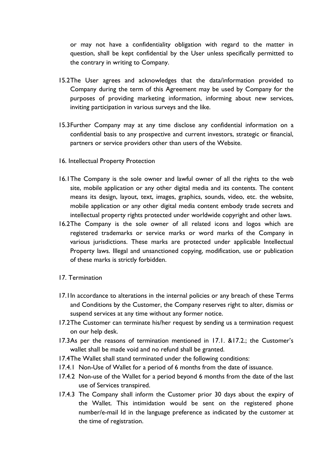or may not have a confidentiality obligation with regard to the matter in question, shall be kept confidential by the User unless specifically permitted to the contrary in writing to Company.

- 15.2The User agrees and acknowledges that the data/information provided to Company during the term of this Agreement may be used by Company for the purposes of providing marketing information, informing about new services, inviting participation in various surveys and the like.
- 15.3Further Company may at any time disclose any confidential information on a confidential basis to any prospective and current investors, strategic or financial, partners or service providers other than users of the Website.
- 16. Intellectual Property Protection
- 16.1The Company is the sole owner and lawful owner of all the rights to the web site, mobile application or any other digital media and its contents. The content means its design, layout, text, images, graphics, sounds, video, etc. the website, mobile application or any other digital media content embody trade secrets and intellectual property rights protected under worldwide copyright and other laws.
- 16.2The Company is the sole owner of all related icons and logos which are registered trademarks or service marks or word marks of the Company in various jurisdictions. These marks are protected under applicable Intellectual Property laws. Illegal and unsanctioned copying, modification, use or publication of these marks is strictly forbidden.
- 17. Termination
- 17.1In accordance to alterations in the internal policies or any breach of these Terms and Conditions by the Customer, the Company reserves right to alter, dismiss or suspend services at any time without any former notice.
- 17.2The Customer can terminate his/her request by sending us a termination request on our help desk.
- 17.3As per the reasons of termination mentioned in 17.1. &17.2.; the Customer's wallet shall be made void and no refund shall be granted.
- 17.4The Wallet shall stand terminated under the following conditions:
- 17.4.1 Non-Use of Wallet for a period of 6 months from the date of issuance.
- 17.4.2 Non-use of the Wallet for a period beyond 6 months from the date of the last use of Services transpired.
- 17.4.3 The Company shall inform the Customer prior 30 days about the expiry of the Wallet. This intimidation would be sent on the registered phone number/e-mail Id in the language preference as indicated by the customer at the time of registration.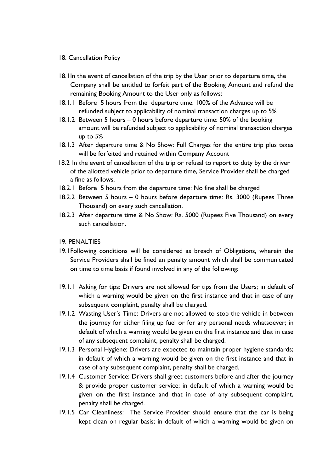#### 18. Cancellation Policy

- 18.1In the event of cancellation of the trip by the User prior to departure time, the Company shall be entitled to forfeit part of the Booking Amount and refund the remaining Booking Amount to the User only as follows:
- 18.1.1 Before 5 hours from the departure time: 100% of the Advance will be refunded subject to applicability of nominal transaction charges up to 5%
- 18.1.2 Between 5 hours 0 hours before departure time: 50% of the booking amount will be refunded subject to applicability of nominal transaction charges up to 5%
- 18.1.3 After departure time & No Show: Full Charges for the entire trip plus taxes will be forfeited and retained within Company Account
- 18.2 In the event of cancellation of the trip or refusal to report to duty by the driver of the allotted vehicle prior to departure time, Service Provider shall be charged a fine as follows,
- 18.2.1 Before 5 hours from the departure time: No fine shall be charged
- 18.2.2 Between 5 hours 0 hours before departure time: Rs. 3000 (Rupees Three Thousand) on every such cancellation.
- 18.2.3 After departure time & No Show: Rs. 5000 (Rupees Five Thousand) on every such cancellation.

#### 19. PENALTIES

- 19.1Following conditions will be considered as breach of Obligations, wherein the Service Providers shall be fined an penalty amount which shall be communicated on time to time basis if found involved in any of the following:
- 19.1.1 Asking for tips: Drivers are not allowed for tips from the Users; in default of which a warning would be given on the first instance and that in case of any subsequent complaint, penalty shall be charged.
- 19.1.2 Wasting User's Time: Drivers are not allowed to stop the vehicle in between the journey for either filing up fuel or for any personal needs whatsoever; in default of which a warning would be given on the first instance and that in case of any subsequent complaint, penalty shall be charged.
- 19.1.3 Personal Hygiene: Drivers are expected to maintain proper hygiene standards; in default of which a warning would be given on the first instance and that in case of any subsequent complaint, penalty shall be charged.
- 19.1.4 Customer Service: Drivers shall greet customers before and after the journey & provide proper customer service; in default of which a warning would be given on the first instance and that in case of any subsequent complaint, penalty shall be charged.
- 19.1.5 Car Cleanliness: The Service Provider should ensure that the car is being kept clean on regular basis; in default of which a warning would be given on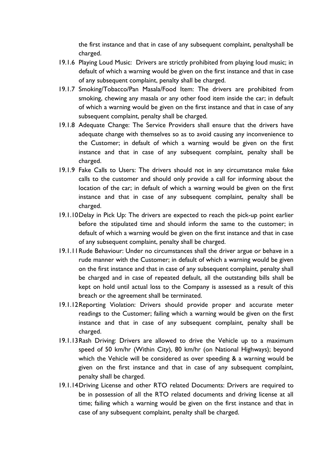the first instance and that in case of any subsequent complaint, penaltyshall be charged.

- 19.1.6 Playing Loud Music: Drivers are strictly prohibited from playing loud music; in default of which a warning would be given on the first instance and that in case of any subsequent complaint, penalty shall be charged.
- 19.1.7 Smoking/Tobacco/Pan Masala/Food Item: The drivers are prohibited from smoking, chewing any masala or any other food item inside the car; in default of which a warning would be given on the first instance and that in case of any subsequent complaint, penalty shall be charged.
- 19.1.8 Adequate Change: The Service Providers shall ensure that the drivers have adequate change with themselves so as to avoid causing any inconvenience to the Customer; in default of which a warning would be given on the first instance and that in case of any subsequent complaint, penalty shall be charged.
- 19.1.9 Fake Calls to Users: The drivers should not in any circumstance make fake calls to the customer and should only provide a call for informing about the location of the car; in default of which a warning would be given on the first instance and that in case of any subsequent complaint, penalty shall be charged.
- 19.1.10Delay in Pick Up: The drivers are expected to reach the pick-up point earlier before the stipulated time and should inform the same to the customer; in default of which a warning would be given on the first instance and that in case of any subsequent complaint, penalty shall be charged.
- 19.1.11Rude Behaviour: Under no circumstances shall the driver argue or behave in a rude manner with the Customer; in default of which a warning would be given on the first instance and that in case of any subsequent complaint, penalty shall be charged and in case of repeated default, all the outstanding bills shall be kept on hold until actual loss to the Company is assessed as a result of this breach or the agreement shall be terminated.
- 19.1.12Reporting Violation: Drivers should provide proper and accurate meter readings to the Customer; failing which a warning would be given on the first instance and that in case of any subsequent complaint, penalty shall be charged.
- 19.1.13Rash Driving: Drivers are allowed to drive the Vehicle up to a maximum speed of 50 km/hr (Within City), 80 km/hr (on National Highways); beyond which the Vehicle will be considered as over speeding & a warning would be given on the first instance and that in case of any subsequent complaint, penalty shall be charged.
- 19.1.14Driving License and other RTO related Documents: Drivers are required to be in possession of all the RTO related documents and driving license at all time; failing which a warning would be given on the first instance and that in case of any subsequent complaint, penalty shall be charged.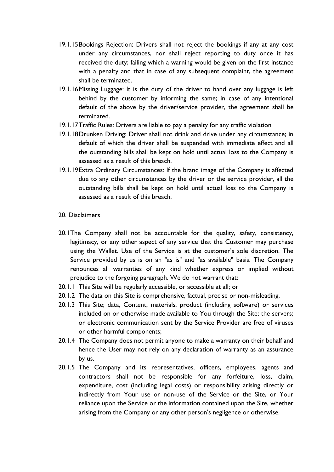- 19.1.15Bookings Rejection: Drivers shall not reject the bookings if any at any cost under any circumstances, nor shall reject reporting to duty once it has received the duty; failing which a warning would be given on the first instance with a penalty and that in case of any subsequent complaint, the agreement shall be terminated.
- 19.1.16Missing Luggage: It is the duty of the driver to hand over any luggage is left behind by the customer by informing the same; in case of any intentional default of the above by the driver/service provider, the agreement shall be terminated.
- 19.1.17Traffic Rules: Drivers are liable to pay a penalty for any traffic violation
- 19.1.18Drunken Driving: Driver shall not drink and drive under any circumstance; in default of which the driver shall be suspended with immediate effect and all the outstanding bills shall be kept on hold until actual loss to the Company is assessed as a result of this breach.
- 19.1.19Extra Ordinary Circumstances: If the brand image of the Company is affected due to any other circumstances by the driver or the service provider, all the outstanding bills shall be kept on hold until actual loss to the Company is assessed as a result of this breach.
- 20. Disclaimers
- 20.1The Company shall not be accountable for the quality, safety, consistency, legitimacy, or any other aspect of any service that the Customer may purchase using the Wallet. Use of the Service is at the customer's sole discretion. The Service provided by us is on an "as is" and "as available" basis. The Company renounces all warranties of any kind whether express or implied without prejudice to the forgoing paragraph. We do not warrant that:
- 20.1.1 This Site will be regularly accessible, or accessible at all; or
- 20.1.2 The data on this Site is comprehensive, factual, precise or non-misleading.
- 20.1.3 This Site; data, Content, materials, product (including software) or services included on or otherwise made available to You through the Site; the servers; or electronic communication sent by the Service Provider are free of viruses or other harmful components;
- 20.1.4 The Company does not permit anyone to make a warranty on their behalf and hence the User may not rely on any declaration of warranty as an assurance by us.
- 20.1.5 The Company and its representatives, officers, employees, agents and contractors shall not be responsible for any forfeiture, loss, claim, expenditure, cost (including legal costs) or responsibility arising directly or indirectly from Your use or non-use of the Service or the Site, or Your reliance upon the Service or the information contained upon the Site, whether arising from the Company or any other person's negligence or otherwise.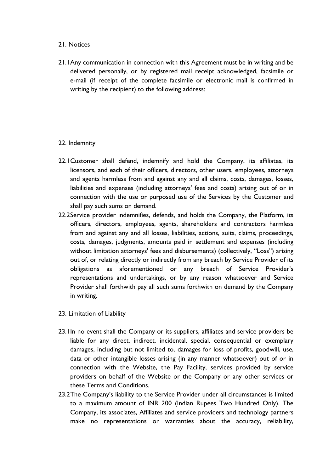### 21. Notices

21.1Any communication in connection with this Agreement must be in writing and be delivered personally, or by registered mail receipt acknowledged, facsimile or e-mail (if receipt of the complete facsimile or electronic mail is confirmed in writing by the recipient) to the following address:

## 22. Indemnity

- 22.1Customer shall defend, indemnify and hold the Company, its affiliates, its licensors, and each of their officers, directors, other users, employees, attorneys and agents harmless from and against any and all claims, costs, damages, losses, liabilities and expenses (including attorneys' fees and costs) arising out of or in connection with the use or purposed use of the Services by the Customer and shall pay such sums on demand.
- 22.2Service provider indemnifies, defends, and holds the Company, the Platform, its officers, directors, employees, agents, shareholders and contractors harmless from and against any and all losses, liabilities, actions, suits, claims, proceedings, costs, damages, judgments, amounts paid in settlement and expenses (including without limitation attorneys' fees and disbursements) (collectively, "Loss") arising out of, or relating directly or indirectly from any breach by Service Provider of its obligations as aforementioned or any breach of Service Provider's representations and undertakings, or by any reason whatsoever and Service Provider shall forthwith pay all such sums forthwith on demand by the Company in writing.
- 23. Limitation of Liability
- 23.1In no event shall the Company or its suppliers, affiliates and service providers be liable for any direct, indirect, incidental, special, consequential or exemplary damages, including but not limited to, damages for loss of profits, goodwill, use, data or other intangible losses arising (in any manner whatsoever) out of or in connection with the Website, the Pay Facility, services provided by service providers on behalf of the Website or the Company or any other services or these Terms and Conditions.
- 23.2The Company's liability to the Service Provider under all circumstances is limited to a maximum amount of INR 200 (Indian Rupees Two Hundred Only). The Company, its associates, Affiliates and service providers and technology partners make no representations or warranties about the accuracy, reliability,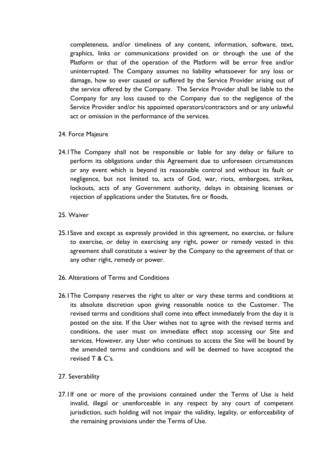completeness, and/or timeliness of any content, information, software, text, graphics, links or communications provided on or through the use of the Platform or that of the operation of the Platform will be error free and/or uninterrupted. The Company assumes no liability whatsoever for any loss or damage, how so ever caused or suffered by the Service Provider arising out of the service offered by the Company. The Service Provider shall be liable to the Company for any loss caused to the Company due to the negligence of the Service Provider and/or his appointed operators/contractors and or any unlawful act or omission in the performance of the services.

- 24. Force Majeure
- 24.1The Company shall not be responsible or liable for any delay or failure to perform its obligations under this Agreement due to unforeseen circumstances or any event which is beyond its reasonable control and without its fault or negligence, but not limited to, acts of God, war, riots, embargoes, strikes, lockouts, acts of any Government authority, delays in obtaining licenses or rejection of applications under the Statutes, fire or floods.
- 25. Waiver
- 25.1Save and except as expressly provided in this agreement, no exercise, or failure to exercise, or delay in exercising any right, power or remedy vested in this agreement shall constitute a waiver by the Company to the agreement of that or any other right, remedy or power.
- 26. Alterations of Terms and Conditions
- 26.1The Company reserves the right to alter or vary these terms and conditions at its absolute discretion upon giving reasonable notice to the Customer. The revised terms and conditions shall come into effect immediately from the day it is posted on the site. If the User wishes not to agree with the revised terms and conditions, the user must on immediate effect stop accessing our Site and services. However, any User who continues to access the Site will be bound by the amended terms and conditions and will be deemed to have accepted the revised T & C's.
- 27. Severability
- 27.1If one or more of the provisions contained under the Terms of Use is held invalid, illegal or unenforceable in any respect by any court of competent jurisdiction, such holding will not impair the validity, legality, or enforceability of the remaining provisions under the Terms of Use.